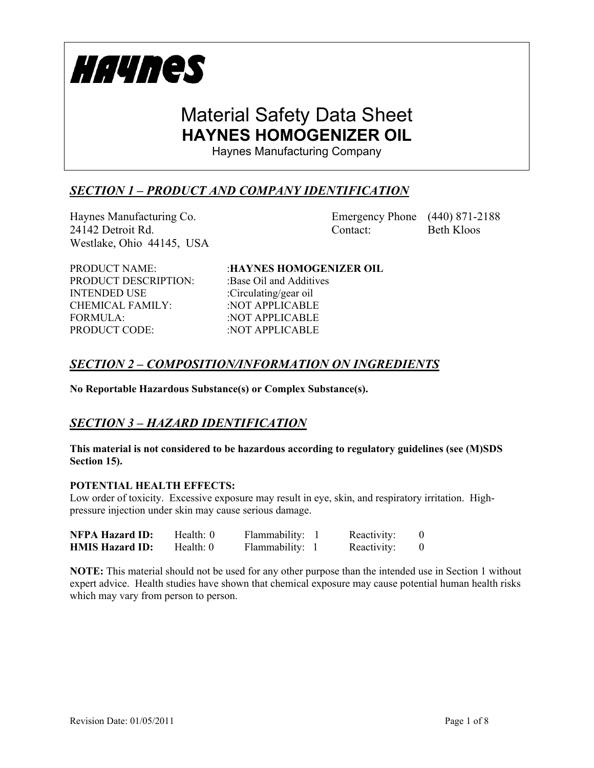

Haynes Manufacturing Company

## *SECTION 1 – PRODUCT AND COMPANY IDENTIFICATION*

Haynes Manufacturing Co. Emergency Phone (440) 871-2188 24142 Detroit Rd. Contact: Beth Kloos Westlake, Ohio 44145, USA

PRODUCT DESCRIPTION: :Base Oil and Additives INTENDED USE :Circulating/gear oil CHEMICAL FAMILY: : NOT APPLICABLE FORMULA: :NOT APPLICABLE PRODUCT CODE: : NOT APPLICABLE

PRODUCT NAME: :**HAYNES HOMOGENIZER OIL**

### *SECTION 2 – COMPOSITION/INFORMATION ON INGREDIENTS*

**No Reportable Hazardous Substance(s) or Complex Substance(s).**

## *SECTION 3 – HAZARD IDENTIFICATION*

### **This material is not considered to be hazardous according to regulatory guidelines (see (M)SDS Section 15).**

### **POTENTIAL HEALTH EFFECTS:**

Low order of toxicity. Excessive exposure may result in eye, skin, and respiratory irritation. Highpressure injection under skin may cause serious damage.

| <b>NFPA Hazard ID:</b> | Health: 0 | Flammability: | Reactivity: |  |
|------------------------|-----------|---------------|-------------|--|
| <b>HMIS Hazard ID:</b> | Health: 0 | Flammability: | Reactivity: |  |

**NOTE:** This material should not be used for any other purpose than the intended use in Section 1 without expert advice. Health studies have shown that chemical exposure may cause potential human health risks which may vary from person to person.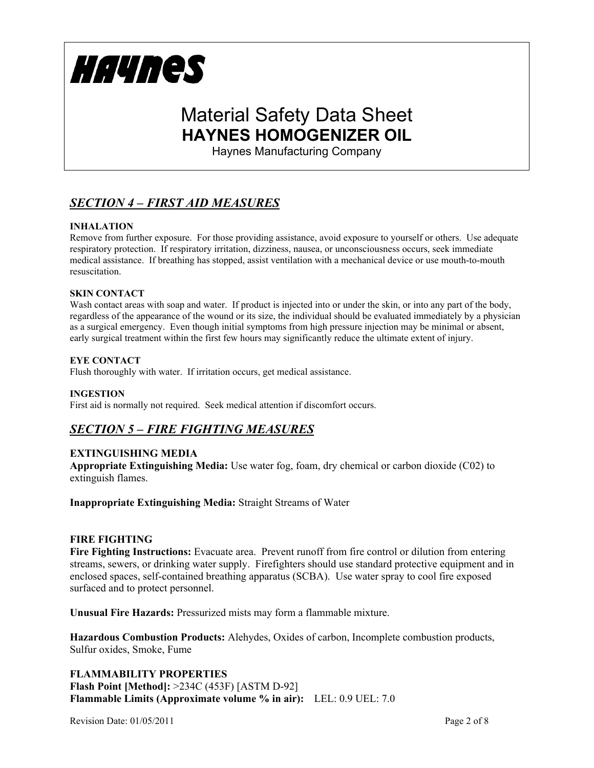

Haynes Manufacturing Company

## *SECTION 4 – FIRST AID MEASURES*

### **INHALATION**

Remove from further exposure. For those providing assistance, avoid exposure to yourself or others. Use adequate respiratory protection. If respiratory irritation, dizziness, nausea, or unconsciousness occurs, seek immediate medical assistance. If breathing has stopped, assist ventilation with a mechanical device or use mouth-to-mouth resuscitation.

### **SKIN CONTACT**

Wash contact areas with soap and water. If product is injected into or under the skin, or into any part of the body, regardless of the appearance of the wound or its size, the individual should be evaluated immediately by a physician as a surgical emergency. Even though initial symptoms from high pressure injection may be minimal or absent, early surgical treatment within the first few hours may significantly reduce the ultimate extent of injury.

### **EYE CONTACT**

Flush thoroughly with water. If irritation occurs, get medical assistance.

### **INGESTION**

First aid is normally not required. Seek medical attention if discomfort occurs.

## *SECTION 5 – FIRE FIGHTING MEASURES*

### **EXTINGUISHING MEDIA**

**Appropriate Extinguishing Media:** Use water fog, foam, dry chemical or carbon dioxide (C02) to extinguish flames.

**Inappropriate Extinguishing Media:** Straight Streams of Water

### **FIRE FIGHTING**

**Fire Fighting Instructions:** Evacuate area. Prevent runoff from fire control or dilution from entering streams, sewers, or drinking water supply. Firefighters should use standard protective equipment and in enclosed spaces, self-contained breathing apparatus (SCBA). Use water spray to cool fire exposed surfaced and to protect personnel.

**Unusual Fire Hazards:** Pressurized mists may form a flammable mixture.

**Hazardous Combustion Products:** Alehydes, Oxides of carbon, Incomplete combustion products, Sulfur oxides, Smoke, Fume

**FLAMMABILITY PROPERTIES Flash Point [Method]:** >234C (453F) [ASTM D-92] **Flammable Limits (Approximate volume % in air):** LEL: 0.9 UEL: 7.0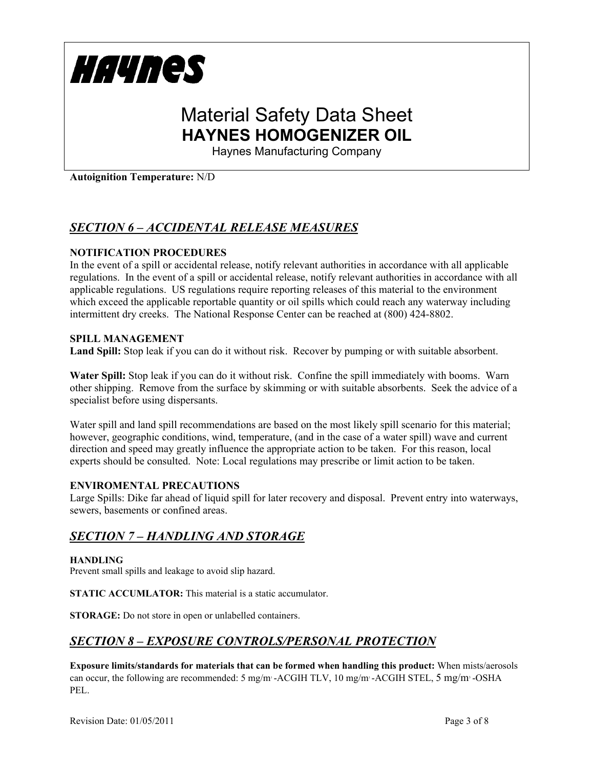

Haynes Manufacturing Company

**Autoignition Temperature:** N/D

## *SECTION 6 – ACCIDENTAL RELEASE MEASURES*

### **NOTIFICATION PROCEDURES**

In the event of a spill or accidental release, notify relevant authorities in accordance with all applicable regulations. In the event of a spill or accidental release, notify relevant authorities in accordance with all applicable regulations. US regulations require reporting releases of this material to the environment which exceed the applicable reportable quantity or oil spills which could reach any waterway including intermittent dry creeks. The National Response Center can be reached at (800) 424-8802.

### **SPILL MANAGEMENT**

**Land Spill:** Stop leak if you can do it without risk. Recover by pumping or with suitable absorbent.

**Water Spill:** Stop leak if you can do it without risk. Confine the spill immediately with booms. Warn other shipping. Remove from the surface by skimming or with suitable absorbents. Seek the advice of a specialist before using dispersants.

Water spill and land spill recommendations are based on the most likely spill scenario for this material; however, geographic conditions, wind, temperature, (and in the case of a water spill) wave and current direction and speed may greatly influence the appropriate action to be taken. For this reason, local experts should be consulted. Note: Local regulations may prescribe or limit action to be taken.

### **ENVIROMENTAL PRECAUTIONS**

Large Spills: Dike far ahead of liquid spill for later recovery and disposal. Prevent entry into waterways, sewers, basements or confined areas.

### *SECTION 7 – HANDLING AND STORAGE*

### **HANDLING**

Prevent small spills and leakage to avoid slip hazard.

**STATIC ACCUMLATOR:** This material is a static accumulator.

**STORAGE:** Do not store in open or unlabelled containers.

### *SECTION 8 – EXPOSURE CONTROLS/PERSONAL PROTECTION*

**Exposure limits/standards for materials that can be formed when handling this product:** When mists/aerosols can occur, the following are recommended: 5 mg/m·-ACGIH TLV, 10 mg/m·-ACGIH STEL, 5 mg/m·-OSHA PEL.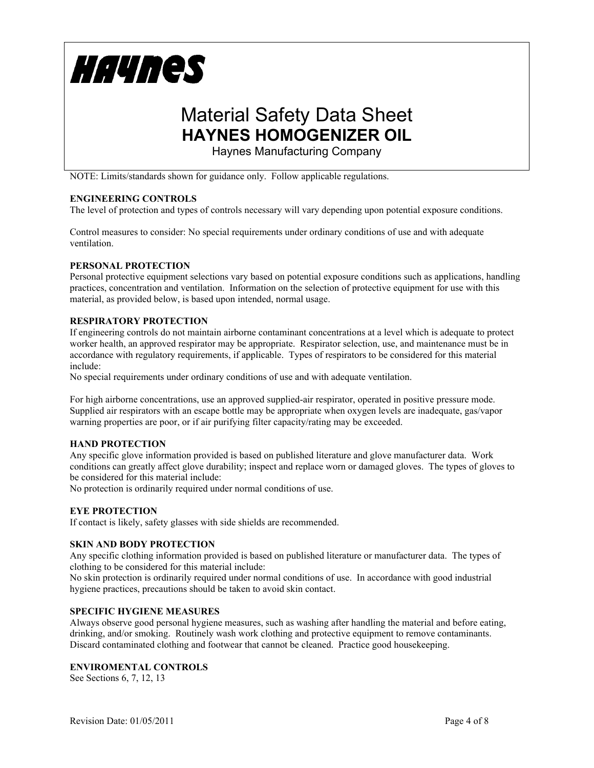

Haynes Manufacturing Company

NOTE: Limits/standards shown for guidance only. Follow applicable regulations.

### **ENGINEERING CONTROLS**

The level of protection and types of controls necessary will vary depending upon potential exposure conditions.

Control measures to consider: No special requirements under ordinary conditions of use and with adequate ventilation.

### **PERSONAL PROTECTION**

Personal protective equipment selections vary based on potential exposure conditions such as applications, handling practices, concentration and ventilation. Information on the selection of protective equipment for use with this material, as provided below, is based upon intended, normal usage.

### **RESPIRATORY PROTECTION**

If engineering controls do not maintain airborne contaminant concentrations at a level which is adequate to protect worker health, an approved respirator may be appropriate. Respirator selection, use, and maintenance must be in accordance with regulatory requirements, if applicable. Types of respirators to be considered for this material include:

No special requirements under ordinary conditions of use and with adequate ventilation.

For high airborne concentrations, use an approved supplied-air respirator, operated in positive pressure mode. Supplied air respirators with an escape bottle may be appropriate when oxygen levels are inadequate, gas/vapor warning properties are poor, or if air purifying filter capacity/rating may be exceeded.

### **HAND PROTECTION**

Any specific glove information provided is based on published literature and glove manufacturer data. Work conditions can greatly affect glove durability; inspect and replace worn or damaged gloves. The types of gloves to be considered for this material include:

No protection is ordinarily required under normal conditions of use.

#### **EYE PROTECTION**

If contact is likely, safety glasses with side shields are recommended.

#### **SKIN AND BODY PROTECTION**

Any specific clothing information provided is based on published literature or manufacturer data. The types of clothing to be considered for this material include:

No skin protection is ordinarily required under normal conditions of use. In accordance with good industrial hygiene practices, precautions should be taken to avoid skin contact.

#### **SPECIFIC HYGIENE MEASURES**

Always observe good personal hygiene measures, such as washing after handling the material and before eating, drinking, and/or smoking. Routinely wash work clothing and protective equipment to remove contaminants. Discard contaminated clothing and footwear that cannot be cleaned. Practice good housekeeping.

#### **ENVIROMENTAL CONTROLS**

See Sections 6, 7, 12, 13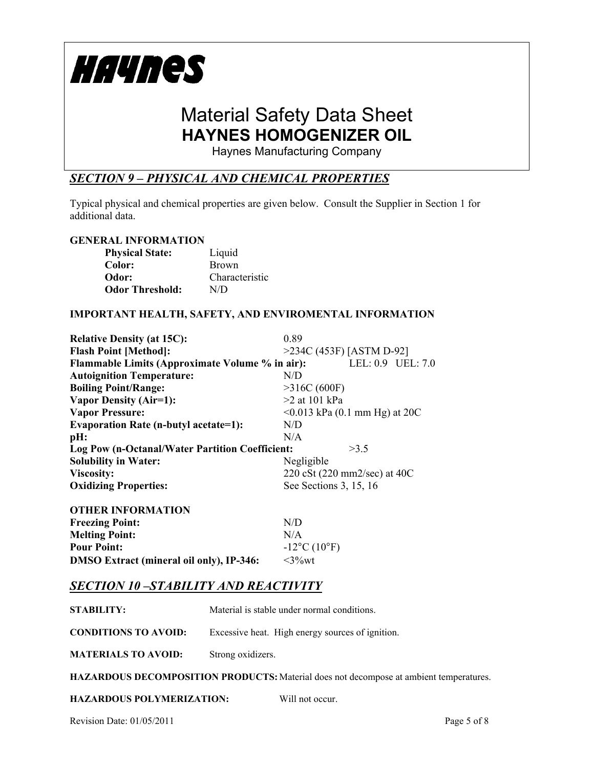

Haynes Manufacturing Company

## *SECTION 9 – PHYSICAL AND CHEMICAL PROPERTIES*

Typical physical and chemical properties are given below. Consult the Supplier in Section 1 for additional data.

### **GENERAL INFORMATION**

| <b>Physical State:</b> | Liquid         |
|------------------------|----------------|
| Color:                 | <b>Brown</b>   |
| Odor:                  | Characteristic |
| <b>Odor Threshold:</b> | N/D            |

### **IMPORTANT HEALTH, SAFETY, AND ENVIROMENTAL INFORMATION**

| <b>Relative Density (at 15C):</b>               | 0.89                                |                   |
|-------------------------------------------------|-------------------------------------|-------------------|
| <b>Flash Point [Method]:</b>                    | >234C (453F) [ASTM D-92]            |                   |
| Flammable Limits (Approximate Volume % in air): |                                     | LEL: 0.9 UEL: 7.0 |
| <b>Autoignition Temperature:</b>                | N/D                                 |                   |
| <b>Boiling Point/Range:</b>                     | >316C(600F)                         |                   |
| <b>Vapor Density (Air=1):</b>                   | $>2$ at 101 kPa                     |                   |
| <b>Vapor Pressure:</b>                          | $\leq 0.013$ kPa (0.1 mm Hg) at 20C |                   |
| <b>Evaporation Rate (n-butyl acetate=1):</b>    | N/D                                 |                   |
| pH:                                             | N/A                                 |                   |
| Log Pow (n-Octanal/Water Partition Coefficient: | >3.5                                |                   |
| <b>Solubility in Water:</b>                     | Negligible                          |                   |
| <b>Viscosity:</b>                               | 220 cSt (220 mm2/sec) at 40C        |                   |
| <b>Oxidizing Properties:</b>                    | See Sections 3, 15, 16              |                   |
|                                                 |                                     |                   |

| <b>OTHER INFORMATION</b>                        |                                     |
|-------------------------------------------------|-------------------------------------|
| <b>Freezing Point:</b>                          | N/D                                 |
| <b>Melting Point:</b>                           | N/A                                 |
| <b>Pour Point:</b>                              | $-12^{\circ}$ C (10 <sup>o</sup> F) |
| <b>DMSO Extract (mineral oil only), IP-346:</b> | $\leq$ 3%wt                         |

### *SECTION 10 –STABILITY AND REACTIVITY*

| STABILITY:                  | Material is stable under normal conditions.      |
|-----------------------------|--------------------------------------------------|
| <b>CONDITIONS TO AVOID:</b> | Excessive heat. High energy sources of ignition. |
| <b>MATERIALS TO AVOID:</b>  | Strong oxidizers.                                |

**HAZARDOUS DECOMPOSITION PRODUCTS:** Material does not decompose at ambient temperatures.

|  | <b>HAZARDOUS POLYMERIZATION:</b> |  | Will not occur. |
|--|----------------------------------|--|-----------------|
|--|----------------------------------|--|-----------------|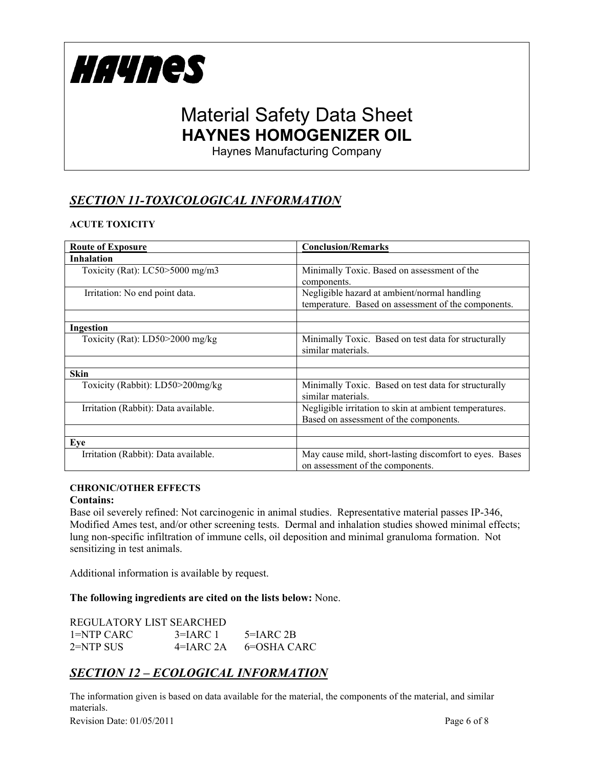

Haynes Manufacturing Company

# *SECTION 11-TOXICOLOGICAL INFORMATION*

### **ACUTE TOXICITY**

| <b>Route of Exposure</b>             | <b>Conclusion/Remarks</b>                                                                           |
|--------------------------------------|-----------------------------------------------------------------------------------------------------|
| <b>Inhalation</b>                    |                                                                                                     |
| Toxicity (Rat): $LC50 > 5000$ mg/m3  | Minimally Toxic. Based on assessment of the<br>components.                                          |
| Irritation: No end point data.       | Negligible hazard at ambient/normal handling<br>temperature. Based on assessment of the components. |
| Ingestion                            |                                                                                                     |
| Toxicity (Rat): LD50>2000 mg/kg      | Minimally Toxic. Based on test data for structurally<br>similar materials.                          |
|                                      |                                                                                                     |
| <b>Skin</b>                          |                                                                                                     |
| Toxicity (Rabbit): LD50>200mg/kg     | Minimally Toxic. Based on test data for structurally<br>similar materials.                          |
| Irritation (Rabbit): Data available. | Negligible irritation to skin at ambient temperatures.<br>Based on assessment of the components.    |
|                                      |                                                                                                     |
| Eve                                  |                                                                                                     |
| Irritation (Rabbit): Data available. | May cause mild, short-lasting discomfort to eyes. Bases<br>on assessment of the components.         |

### **CHRONIC/OTHER EFFECTS**

### **Contains:**

Base oil severely refined: Not carcinogenic in animal studies. Representative material passes IP-346, Modified Ames test, and/or other screening tests. Dermal and inhalation studies showed minimal effects; lung non-specific infiltration of immune cells, oil deposition and minimal granuloma formation. Not sensitizing in test animals.

Additional information is available by request.

**The following ingredients are cited on the lists below:** None.

| REGULATORY LIST SEARCHED |               |              |
|--------------------------|---------------|--------------|
| 1=NTP CARC               | $3=IARC1$     | $5 = IARC2B$ |
| $2=NTP$ SUS              | $4 = IARC 2A$ | 6=OSHA CARC  |

### *SECTION 12 – ECOLOGICAL INFORMATION*

The information given is based on data available for the material, the components of the material, and similar materials.

Revision Date: 01/05/2011 Page 6 of 8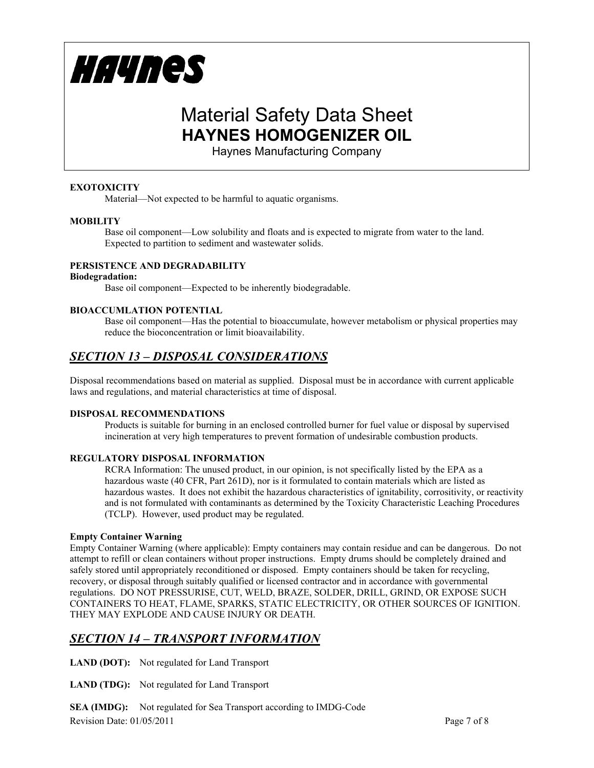

Haynes Manufacturing Company

### **EXOTOXICITY**

Material—Not expected to be harmful to aquatic organisms.

### **MOBILITY**

Base oil component—Low solubility and floats and is expected to migrate from water to the land. Expected to partition to sediment and wastewater solids.

### **PERSISTENCE AND DEGRADABILITY**

#### **Biodegradation:**

Base oil component—Expected to be inherently biodegradable.

### **BIOACCUMLATION POTENTIAL**

Base oil component—Has the potential to bioaccumulate, however metabolism or physical properties may reduce the bioconcentration or limit bioavailability.

### *SECTION 13 – DISPOSAL CONSIDERATIONS*

Disposal recommendations based on material as supplied. Disposal must be in accordance with current applicable laws and regulations, and material characteristics at time of disposal.

#### **DISPOSAL RECOMMENDATIONS**

Products is suitable for burning in an enclosed controlled burner for fuel value or disposal by supervised incineration at very high temperatures to prevent formation of undesirable combustion products.

### **REGULATORY DISPOSAL INFORMATION**

RCRA Information: The unused product, in our opinion, is not specifically listed by the EPA as a hazardous waste (40 CFR, Part 261D), nor is it formulated to contain materials which are listed as hazardous wastes. It does not exhibit the hazardous characteristics of ignitability, corrositivity, or reactivity and is not formulated with contaminants as determined by the Toxicity Characteristic Leaching Procedures (TCLP). However, used product may be regulated.

#### **Empty Container Warning**

Empty Container Warning (where applicable): Empty containers may contain residue and can be dangerous. Do not attempt to refill or clean containers without proper instructions. Empty drums should be completely drained and safely stored until appropriately reconditioned or disposed. Empty containers should be taken for recycling, recovery, or disposal through suitably qualified or licensed contractor and in accordance with governmental regulations. DO NOT PRESSURISE, CUT, WELD, BRAZE, SOLDER, DRILL, GRIND, OR EXPOSE SUCH CONTAINERS TO HEAT, FLAME, SPARKS, STATIC ELECTRICITY, OR OTHER SOURCES OF IGNITION. THEY MAY EXPLODE AND CAUSE INJURY OR DEATH.

## *SECTION 14 – TRANSPORT INFORMATION*

**LAND (DOT):** Not regulated for Land Transport

**LAND (TDG):** Not regulated for Land Transport

Revision Date: 01/05/2011 Page 7 of 8 **SEA (IMDG):** Not regulated for Sea Transport according to IMDG-Code